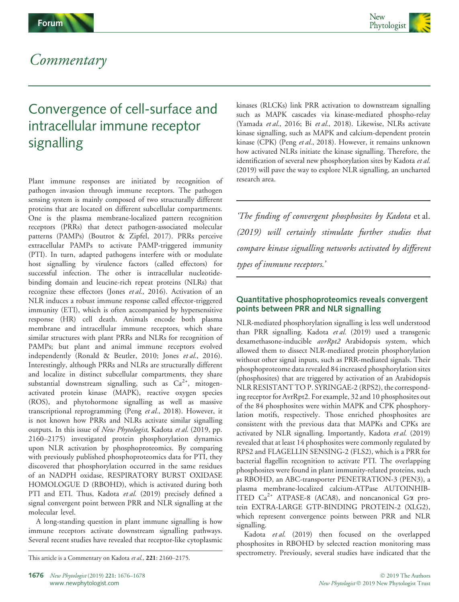



## Commentary

# Convergence of cell-surface and intracellular immune receptor signalling

Plant immune responses are initiated by recognition of pathogen invasion through immune receptors. The pathogen sensing system is mainly composed of two structurally different proteins that are located on different subcellular compartments. One is the plasma membrane-localized pattern recognition receptors (PRRs) that detect pathogen-associated molecular patterns (PAMPs) (Boutrot & Zipfel, 2017). PRRs perceive extracellular PAMPs to activate PAMP-triggered immunity (PTI). In turn, adapted pathogens interfere with or modulate host signalling by virulence factors (called effectors) for successful infection. The other is intracellular nucleotidebinding domain and leucine-rich repeat proteins (NLRs) that recognize these effectors (Jones et al., 2016). Activation of an NLR induces a robust immune response called effector-triggered immunity (ETI), which is often accompanied by hypersensitive response (HR) cell death. Animals encode both plasma membrane and intracellular immune receptors, which share similar structures with plant PRRs and NLRs for recognition of PAMPs; but plant and animal immune receptors evolved independently (Ronald & Beutler, 2010; Jones et al., 2016). Interestingly, although PRRs and NLRs are structurally different and localize in distinct subcellular compartments, they share substantial downstream signalling, such as  $Ca^{2+}$ , mitogenactivated protein kinase (MAPK), reactive oxygen species (ROS), and phytohormone signalling as well as massive transcriptional reprogramming (Peng et al., 2018). However, it is not known how PRRs and NLRs activate similar signalling outputs. In this issue of New Phytologist, Kadota et al. (2019, pp. 2160–2175) investigated protein phosphorylation dynamics upon NLR activation by phosphoproteomics. By comparing with previously published phosphoproteomics data for PTI, they discovered that phosphorylation occurred in the same residues of an NADPH oxidase, RESPIRATORY BURST OXIDASE HOMOLOGUE D (RBOHD), which is activated during both PTI and ETI. Thus, Kadota et al. (2019) precisely defined a signal convergent point between PRR and NLR signalling at the molecular level.

A long-standing question in plant immune signalling is how immune receptors activate downstream signalling pathways. Several recent studies have revealed that receptor-like cytoplasmic kinases (RLCKs) link PRR activation to downstream signalling such as MAPK cascades via kinase-mediated phospho-relay (Yamada et al., 2016; Bi et al., 2018). Likewise, NLRs activate kinase signalling, such as MAPK and calcium-dependent protein kinase (CPK) (Peng et al., 2018). However, it remains unknown how activated NLRs initiate the kinase signalling. Therefore, the identification of several new phosphorylation sites by Kadota et al. (2019) will pave the way to explore NLR signalling, an uncharted research area.

'The finding of convergent phosphosites by Kadota et al. (2019) will certainly stimulate further studies that compare kinase signalling networks activated by different types of immune receptors.'

#### Quantitative phosphoproteomics reveals convergent points between PRR and NLR signalling

NLR-mediated phosphorylation signalling is less well understood than PRR signalling. Kadota et al. (2019) used a transgenic dexamethasone-inducible avrRpt2 Arabidopsis system, which allowed them to dissect NLR-mediated protein phosphorylation without other signal inputs, such as PRR-mediated signals. Their phosphoproteome data revealed 84 increased phosphorylation sites (phosphosites) that are triggered by activation of an Arabidopsis NLR RESISTANT TO P. SYRINGAE-2 (RPS2), the corresponding receptor for AvrRpt2. For example, 32 and 10 phosphosites out of the 84 phosphosites were within MAPK and CPK phosphorylation motifs, respectively. Those enriched phosphosites are consistent with the previous data that MAPKs and CPKs are activated by NLR signalling. Importantly, Kadota et al. (2019) revealed that at least 14 phosphosites were commonly regulated by RPS2 and FLAGELLIN SENSING-2 (FLS2), which is a PRR for bacterial flagellin recognition to activate PTI. The overlapping phosphosites were found in plant immunity-related proteins, such as RBOHD, an ABC-transporter PENETRATION-3 (PEN3), a plasma membrane-localized calcium-ATPase AUTOINHIB-ITED  $Ca^{2+}$  ATPASE-8 (ACA8), and noncanonical G $\alpha$  protein EXTRA-LARGE GTP-BINDING PROTEIN-2 (XLG2), which represent convergence points between PRR and NLR signalling.

Kadota et al. (2019) then focused on the overlapped phosphosites in RBOHD by selected reaction monitoring mass This article is a Commentary on Kadota et al., 221: 2160–2175. spectrometry. Previously, several studies have indicated that the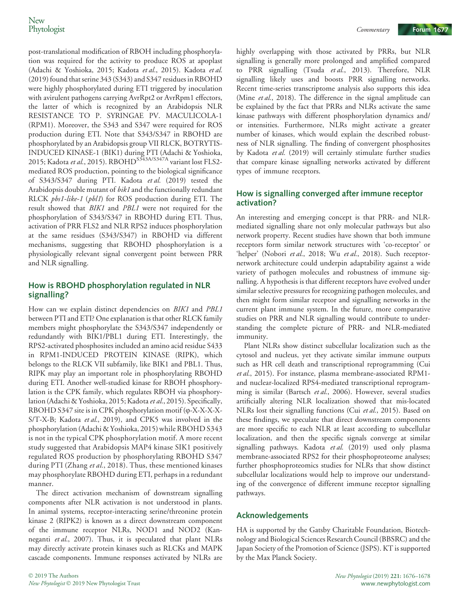post-translational modification of RBOH including phosphorylation was required for the activity to produce ROS at apoplast (Adachi & Yoshioka, 2015; Kadota et al., 2015). Kadota et al. (2019) found that serine 343 (S343) and S347 residues in RBOHD were highly phosphorylated during ETI triggered by inoculation with avirulent pathogens carrying AvrRpt2 or AvrRpm1 effectors, the latter of which is recognized by an Arabidopsis NLR RESISTANCE TO P. SYRINGAE PV. MACULICOLA-1 (RPM1). Moreover, the S343 and S347 were required for ROS production during ETI. Note that S343/S347 in RBOHD are phosphorylated by an Arabidopsis group VII RLCK, BOTRYTIS-INDUCED KINASE-1 (BIK1) during PTI (Adachi & Yoshioka, 2015; Kadota et al., 2015). RBOHD<sup>S343A/S347A</sup> variant lost FLS2mediated ROS production, pointing to the biological significance of S343/S347 during PTI. Kadota et al. (2019) tested the Arabidopsis double mutant of bik1 and the functionally redundant RLCK pbs1-like-1 (pbl1) for ROS production during ETI. The result showed that BIK1 and PBL1 were not required for the phosphorylation of S343/S347 in RBOHD during ETI. Thus, activation of PRR FLS2 and NLR RPS2 induces phosphorylation at the same residues (S343/S347) in RBOHD via different mechanisms, suggesting that RBOHD phosphorylation is a physiologically relevant signal convergent point between PRR and NLR signalling.

#### How is RBOHD phosphorylation regulated in NLR signalling?

How can we explain distinct dependencies on BIK1 and PBL1 between PTI and ETI? One explanation is that other RLCK family members might phosphorylate the S343/S347 independently or redundantly with BIK1/PBL1 during ETI. Interestingly, the RPS2-activated phosphosites included an amino acid residue S433 in RPM1-INDUCED PROTEIN KINASE (RIPK), which belongs to the RLCK VII subfamily, like BIK1 and PBL1. Thus, RIPK may play an important role in phosphorylating RBOHD during ETI. Another well-studied kinase for RBOH phosphorylation is the CPK family, which regulates RBOH via phosphorylation (Adachi & Yoshioka, 2015; Kadota et al., 2015). Specifically, RBOHD S347 site is in CPK phosphorylation motif (φ-X-X-X-X-S/T-X-B; Kadota et al., 2019), and CPK5 was involved in the phosphorylation (Adachi & Yoshioka, 2015) while RBOHD S343 is not in the typical CPK phosphorylation motif. A more recent study suggested that Arabidopsis MAP4 kinase SIK1 positively regulated ROS production by phosphorylating RBOHD S347 during PTI (Zhang et al., 2018). Thus, these mentioned kinases may phosphorylate RBOHD during ETI, perhaps in a redundant manner.

The direct activation mechanism of downstream signalling components after NLR activation is not understood in plants. In animal systems, receptor-interacting serine/threonine protein kinase 2 (RIPK2) is known as a direct downstream component of the immune receptor NLRs, NOD1 and NOD2 (Kanneganti et al., 2007). Thus, it is speculated that plant NLRs may directly activate protein kinases such as RLCKs and MAPK cascade components. Immune responses activated by NLRs are

highly overlapping with those activated by PRRs, but NLR signalling is generally more prolonged and amplified compared to PRR signalling (Tsuda et al., 2013). Therefore, NLR signalling likely uses and boosts PRR signalling networks. Recent time-series transcriptome analysis also supports this idea (Mine et al., 2018). The difference in the signal amplitude can be explained by the fact that PRRs and NLRs activate the same kinase pathways with different phosphorylation dynamics and/ or intensities. Furthermore, NLRs might activate a greater number of kinases, which would explain the described robustness of NLR signalling. The finding of convergent phosphosites by Kadota et al. (2019) will certainly stimulate further studies that compare kinase signalling networks activated by different types of immune receptors.

#### How is signalling converged after immune receptor activation?

An interesting and emerging concept is that PRR- and NLRmediated signalling share not only molecular pathways but also network property. Recent studies have shown that both immune receptors form similar network structures with 'co-receptor' or 'helper' (Nobori et al., 2018; Wu et al., 2018). Such receptornetwork architecture could underpin adaptability against a wide variety of pathogen molecules and robustness of immune signalling. A hypothesis is that different receptors have evolved under similar selective pressures for recognizing pathogen molecules, and then might form similar receptor and signalling networks in the current plant immune system. In the future, more comparative studies on PRR and NLR signalling would contribute to understanding the complete picture of PRR- and NLR-mediated immunity.

Plant NLRs show distinct subcellular localization such as the cytosol and nucleus, yet they activate similar immune outputs such as HR cell death and transcriptional reprogramming (Cui et al., 2015). For instance, plasma membrane-associated RPM1and nuclear-localized RPS4-mediated transcriptional reprogramming is similar (Bartsch et al., 2006). However, several studies artificially altering NLR localization showed that mis-located NLRs lost their signalling functions (Cui et al., 2015). Based on these findings, we speculate that direct downstream components are more specific to each NLR at least according to subcellular localization, and then the specific signals converge at similar signalling pathways. Kadota et al. (2019) used only plasma membrane-associated RPS2 for their phosphoproteome analyses; further phosphoproteomics studies for NLRs that show distinct subcellular localizations would help to improve our understanding of the convergence of different immune receptor signalling pathways.

#### Acknowledgements

HA is supported by the Gatsby Charitable Foundation, Biotechnology and Biological Sciences Research Council (BBSRC) and the Japan Society of the Promotion of Science (JSPS). KT is supported by the Max Planck Society.